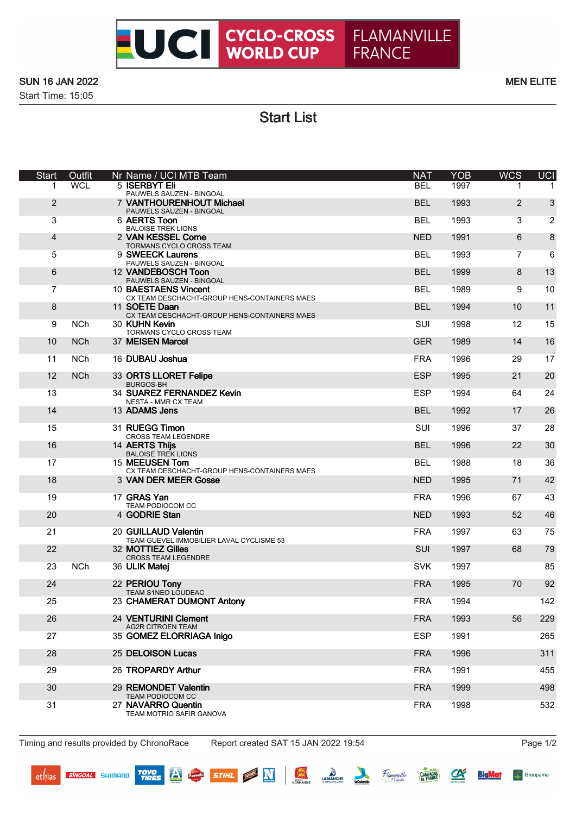

Start Time: 15:05

Start List

| <b>Start</b>   | Outfit     | Nr Name / UCI MTB Team                                               | <b>NAT</b> | <b>YOB</b> | <b>WCS</b> | <b>UCI</b>     |
|----------------|------------|----------------------------------------------------------------------|------------|------------|------------|----------------|
|                | <b>WCL</b> | 5 ISERBYT Eli<br>PAUWELS SAUZEN - BINGOAL                            | <b>BEL</b> | 1997       | 1          |                |
| $\overline{2}$ |            | 7 VANTHOURENHOUT Michael<br>PAUWELS SAUZEN - BINGOAL                 | <b>BEL</b> | 1993       | 2          | 3              |
| 3              |            | 6 AERTS Toon<br><b>BALOISE TREK LIONS</b>                            | <b>BEL</b> | 1993       | 3          | $\overline{2}$ |
| $\overline{4}$ |            | 2 VAN KESSEL Corne<br>TORMANS CYCLO CROSS TEAM                       | <b>NED</b> | 1991       | 6          | 8              |
| 5              |            | 9 SWEECK Laurens<br>PAUWELS SAUZEN - BINGOAL                         | <b>BEL</b> | 1993       | 7          | 6              |
| 6              |            | 12 VANDEBOSCH Toon<br>PAUWELS SAUZEN - BINGOAL                       | <b>BEL</b> | 1999       | 8          | 13             |
| $\overline{7}$ |            | 10 BAESTAENS Vincent                                                 | <b>BEL</b> | 1989       | 9          | 10             |
| 8              |            | CX TEAM DESCHACHT-GROUP HENS-CONTAINERS MAES<br>11 SOETE Daan        | <b>BEL</b> | 1994       | 10         | 11             |
| 9              | <b>NCh</b> | CX TEAM DESCHACHT-GROUP HENS-CONTAINERS MAES<br>30 KUHN Kevin        | <b>SUI</b> | 1998       | 12         | 15             |
| 10             | <b>NCh</b> | TORMANS CYCLO CROSS TEAM<br>37 MEISEN Marcel                         | <b>GER</b> | 1989       | 14         | 16             |
| 11             | <b>NCh</b> | 16 DUBAU Joshua                                                      | <b>FRA</b> | 1996       | 29         | 17             |
| 12             | <b>NCh</b> | 33 ORTS LLORET Felipe                                                | <b>ESP</b> | 1995       | 21         | 20             |
| 13             |            | <b>BURGOS-BH</b><br>34 SUAREZ FERNANDEZ Kevin                        | <b>ESP</b> | 1994       | 64         | 24             |
| 14             |            | <b>NESTA - MMR CX TEAM</b><br>13 ADAMS Jens                          | <b>BEL</b> | 1992       | 17         | 26             |
| 15             |            | 31 RUEGG Timon                                                       | SUI        | 1996       | 37         | 28             |
| 16             |            | <b>CROSS TEAM LEGENDRE</b><br>14 AERTS Thijs                         | <b>BEL</b> | 1996       | 22         | 30             |
| 17             |            | <b>BALOISE TREK LIONS</b><br>15 MEEUSEN Tom                          | <b>BEL</b> | 1988       | 18         | 36             |
| 18             |            | CX TEAM DESCHACHT-GROUP HENS-CONTAINERS MAES<br>3 VAN DER MEER Gosse | <b>NED</b> | 1995       | 71         | 42             |
| 19             |            | 17 GRAS Yan                                                          | <b>FRA</b> | 1996       | 67         | 43             |
| 20             |            | TEAM PODIOCOM CC<br>4 GODRIE Stan                                    | <b>NED</b> | 1993       | 52         | 46             |
| 21             |            | 20 GUILLAUD Valentin                                                 | <b>FRA</b> | 1997       | 63         | 75             |
| 22             |            | TEAM GUEVEL IMMOBILIER LAVAL CYCLISME 53<br>32 MOTTIEZ Gilles        | <b>SUI</b> | 1997       | 68         | 79             |
| 23             | <b>NCh</b> | <b>CROSS TEAM LEGENDRE</b><br>36 ULIK Matej                          | <b>SVK</b> | 1997       |            | 85             |
|                |            |                                                                      | <b>FRA</b> |            | 70         |                |
| 24             |            | 22 PERIOU Tony<br>TEAM S1NEO LOUDEAC                                 |            | 1995       |            | 92             |
| 25             |            | 23 CHAMERAT DUMONT Antony                                            | <b>FRA</b> | 1994       |            | 142            |
| 26             |            | 24 VENTURINI Clement<br><b>AG2R CITROEN TEAM</b>                     | <b>FRA</b> | 1993       | 56         | 229            |
| 27             |            | 35 GOMEZ ELORRIAGA Inigo                                             | <b>ESP</b> | 1991       |            | 265            |
| 28             |            | 25 DELOISON Lucas                                                    | <b>FRA</b> | 1996       |            | 311            |
| 29             |            | 26 TROPARDY Arthur                                                   | <b>FRA</b> | 1991       |            | 455            |
| 30             |            | 29 REMONDET Valentin<br>TEAM PODIOCOM CC                             | <b>FRA</b> | 1999       |            | 498            |
| 31             |            | 27 NAVARRO Quentin<br>TEAM MOTRIO SAFIR GANOVA                       | <b>FRA</b> | 1998       |            | 532            |

Timing and results provided by ChronoRace Report created SAT 15 JAN 2022 19:54 Page 1/2

**TOYO**<br>TIRES

 $\mathbf{r}$ 

STIHL **OF N** 

NORMANDIE LA MANCHE

Flamanville

 $\alpha$ 

**CAMPAGNE** 

**BigMat** 

Groupama